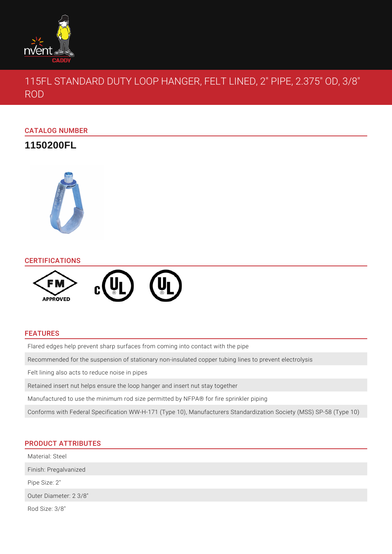

115FL STANDARD DUTY LOOP HANGER, FELT LINED, 2" PIPE, 2.375" OD, 3/8" ROD

# CATALOG NUMBER

**1150200FL**



# **CERTIFICATIONS**



## FEATURES

Flared edges help prevent sharp surfaces from coming into contact with the pipe

Recommended for the suspension of stationary non-insulated copper tubing lines to prevent electrolysis

Felt lining also acts to reduce noise in pipes

Retained insert nut helps ensure the loop hanger and insert nut stay together

Manufactured to use the minimum rod size permitted by NFPA® for fire sprinkler piping

Conforms with Federal Specification WW-H-171 (Type 10), Manufacturers Standardization Society (MSS) SP-58 (Type 10)

# PRODUCT ATTRIBUTES

Material: Steel

Finish: Pregalvanized

Pipe Size: 2"

Outer Diameter: 2 3/8"

Rod Size: 3/8"